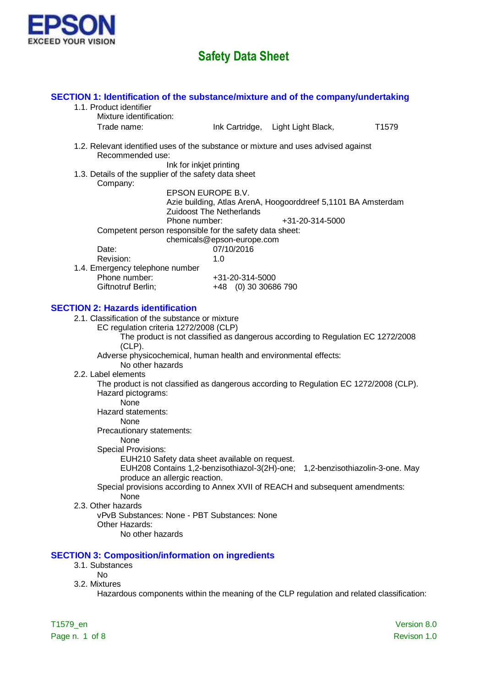

| SECTION 1: Identification of the substance/mixture and of the company/undertaking<br>1.1. Product identifier |                                                      |                                                                                  |                   |
|--------------------------------------------------------------------------------------------------------------|------------------------------------------------------|----------------------------------------------------------------------------------|-------------------|
| Mixture identification:                                                                                      |                                                      |                                                                                  |                   |
| Trade name:                                                                                                  |                                                      | Ink Cartridge, Light Light Black,                                                | T <sub>1579</sub> |
| 1.2. Relevant identified uses of the substance or mixture and uses advised against<br>Recommended use:       |                                                      |                                                                                  |                   |
| 1.3. Details of the supplier of the safety data sheet<br>Company:                                            | Ink for inkjet printing                              |                                                                                  |                   |
| Phone number:                                                                                                | EPSON EUROPE B.V.<br><b>Zuidoost The Netherlands</b> | Azie building, Atlas ArenA, Hoogoorddreef 5,1101 BA Amsterdam<br>+31-20-314-5000 |                   |
| Competent person responsible for the safety data sheet:                                                      | chemicals@epson-europe.com                           |                                                                                  |                   |
| Date:                                                                                                        | 07/10/2016                                           |                                                                                  |                   |
| Revision:                                                                                                    | 1.0                                                  |                                                                                  |                   |
| 1.4. Emergency telephone number<br>Phone number:                                                             | +31-20-314-5000                                      |                                                                                  |                   |
| Giftnotruf Berlin;                                                                                           | +48 (0) 30 30686 790                                 |                                                                                  |                   |
|                                                                                                              |                                                      |                                                                                  |                   |
| <b>SECTION 2: Hazards identification</b>                                                                     |                                                      |                                                                                  |                   |
| 2.1. Classification of the substance or mixture<br>EC regulation criteria 1272/2008 (CLP)                    |                                                      |                                                                                  |                   |
|                                                                                                              |                                                      | The product is not classified as dangerous according to Regulation EC 1272/2008  |                   |
| $(CLP)$ .                                                                                                    |                                                      |                                                                                  |                   |
| Adverse physicochemical, human health and environmental effects:                                             |                                                      |                                                                                  |                   |
| No other hazards<br>2.2. Label elements                                                                      |                                                      |                                                                                  |                   |
| The product is not classified as dangerous according to Regulation EC 1272/2008 (CLP).                       |                                                      |                                                                                  |                   |
| Hazard pictograms:                                                                                           |                                                      |                                                                                  |                   |
| <b>None</b>                                                                                                  |                                                      |                                                                                  |                   |
| Hazard statements:                                                                                           |                                                      |                                                                                  |                   |
| None                                                                                                         |                                                      |                                                                                  |                   |
| Precautionary statements:<br>None                                                                            |                                                      |                                                                                  |                   |
| <b>Special Provisions:</b>                                                                                   |                                                      |                                                                                  |                   |
| EUH210 Safety data sheet available on request.                                                               |                                                      |                                                                                  |                   |
|                                                                                                              |                                                      | EUH208 Contains 1,2-benzisothiazol-3(2H)-one; 1,2-benzisothiazolin-3-one. May    |                   |
| produce an allergic reaction.                                                                                |                                                      |                                                                                  |                   |
| Special provisions according to Annex XVII of REACH and subsequent amendments:<br>None                       |                                                      |                                                                                  |                   |
| 2.3. Other hazards                                                                                           |                                                      |                                                                                  |                   |
| vPvB Substances: None - PBT Substances: None                                                                 |                                                      |                                                                                  |                   |
| Other Hazards:                                                                                               |                                                      |                                                                                  |                   |
| No other hazards                                                                                             |                                                      |                                                                                  |                   |
| <b>SECTION 3: Composition/information on ingredients</b>                                                     |                                                      |                                                                                  |                   |
| 3.1. Substances                                                                                              |                                                      |                                                                                  |                   |
| No                                                                                                           |                                                      |                                                                                  |                   |
| 3.2. Mixtures                                                                                                |                                                      |                                                                                  |                   |
| Hazardous components within the meaning of the CLP regulation and related classification:                    |                                                      |                                                                                  |                   |
|                                                                                                              |                                                      |                                                                                  |                   |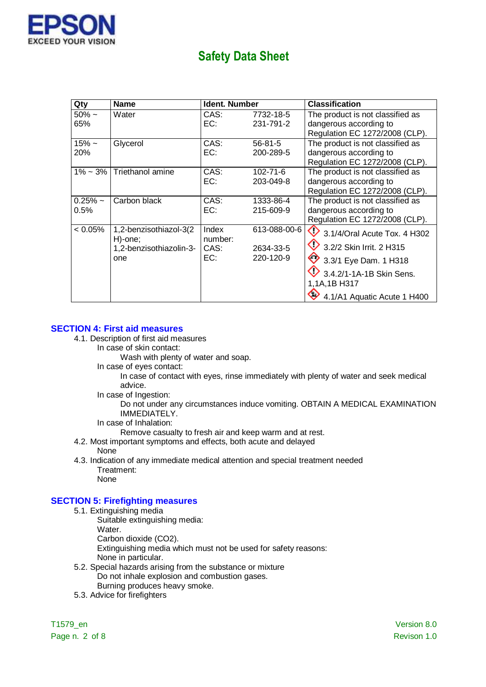

| Qty                       | <b>Name</b>                                                         | Ident. Number                   |                                        | Classification                                                                                                                                                                            |
|---------------------------|---------------------------------------------------------------------|---------------------------------|----------------------------------------|-------------------------------------------------------------------------------------------------------------------------------------------------------------------------------------------|
| $50\% \sim$<br>65%        | Water                                                               | CAS:<br>EC:                     | 7732-18-5<br>231-791-2                 | The product is not classified as<br>dangerous according to<br>Regulation EC 1272/2008 (CLP).                                                                                              |
| $15\% \sim$<br><b>20%</b> | Glycerol                                                            | CAS:<br>EC:                     | $56 - 81 - 5$<br>200-289-5             | The product is not classified as<br>dangerous according to<br>Regulation EC 1272/2008 (CLP).                                                                                              |
| $1\% - 3\%$               | Triethanol amine                                                    | CAS:<br>EC:                     | $102 - 71 - 6$<br>203-049-8            | The product is not classified as<br>dangerous according to<br>Regulation EC 1272/2008 (CLP).                                                                                              |
| $0.25%$ ~<br>0.5%         | Carbon black                                                        | CAS:<br>EC:                     | 1333-86-4<br>215-609-9                 | The product is not classified as<br>dangerous according to<br>Regulation EC 1272/2008 (CLP).                                                                                              |
| $< 0.05\%$                | 1,2-benzisothiazol-3(2<br>H)-one;<br>1,2-benzisothiazolin-3-<br>one | Index<br>number:<br>CAS:<br>EC: | 613-088-00-6<br>2634-33-5<br>220-120-9 | $\bigcirc$ 3.1/4/Oral Acute Tox. 4 H302<br>3.2/2 Skin Irrit. 2 H315<br>$\bigotimes$ 3.3/1 Eye Dam. 1 H318<br>$9.3.4.2$ /1-1A-1B Skin Sens.<br>1,1A,1B H317<br>4.1/A1 Aquatic Acute 1 H400 |

### **SECTION 4: First aid measures**

- 4.1. Description of first aid measures
	- In case of skin contact:

Wash with plenty of water and soap.

In case of eyes contact:

In case of contact with eyes, rinse immediately with plenty of water and seek medical advice.

In case of Ingestion:

Do not under any circumstances induce vomiting. OBTAIN A MEDICAL EXAMINATION IMMEDIATELY.

In case of Inhalation:

Remove casualty to fresh air and keep warm and at rest.

- 4.2. Most important symptoms and effects, both acute and delayed None
- 4.3. Indication of any immediate medical attention and special treatment needed Treatment: None

### **SECTION 5: Firefighting measures**

- 5.1. Extinguishing media
	- Suitable extinguishing media:
		- Water.

Carbon dioxide (CO2).

Extinguishing media which must not be used for safety reasons:

- None in particular.
- 5.2. Special hazards arising from the substance or mixture Do not inhale explosion and combustion gases. Burning produces heavy smoke.
- 5.3. Advice for firefighters

Page n. 2 of 8 Revison 1.0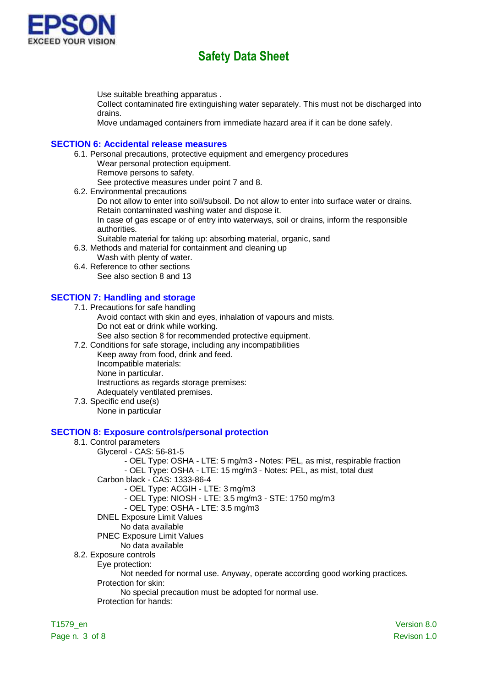

Use suitable breathing apparatus .

Collect contaminated fire extinguishing water separately. This must not be discharged into drains.

Move undamaged containers from immediate hazard area if it can be done safely.

#### **SECTION 6: Accidental release measures**

6.1. Personal precautions, protective equipment and emergency procedures Wear personal protection equipment.

Remove persons to safety. See protective measures under point 7 and 8.

6.2. Environmental precautions

Do not allow to enter into soil/subsoil. Do not allow to enter into surface water or drains. Retain contaminated washing water and dispose it.

In case of gas escape or of entry into waterways, soil or drains, inform the responsible authorities.

Suitable material for taking up: absorbing material, organic, sand

6.3. Methods and material for containment and cleaning up

Wash with plenty of water.

6.4. Reference to other sections See also section 8 and 13

### **SECTION 7: Handling and storage**

7.1. Precautions for safe handling

- Avoid contact with skin and eyes, inhalation of vapours and mists. Do not eat or drink while working.
	- See also section 8 for recommended protective equipment.
- 7.2. Conditions for safe storage, including any incompatibilities

Keep away from food, drink and feed.

Incompatible materials:

None in particular.

Instructions as regards storage premises:

Adequately ventilated premises.

7.3. Specific end use(s)

None in particular

#### **SECTION 8: Exposure controls/personal protection**

- 8.1. Control parameters
	- Glycerol CAS: 56-81-5
		- OEL Type: OSHA LTE: 5 mg/m3 Notes: PEL, as mist, respirable fraction
		- OEL Type: OSHA LTE: 15 mg/m3 Notes: PEL, as mist, total dust
		- Carbon black CAS: 1333-86-4
			- OEL Type: ACGIH LTE: 3 mg/m3
			- OEL Type: NIOSH LTE: 3.5 mg/m3 STE: 1750 mg/m3
			- OEL Type: OSHA LTE: 3.5 mg/m3
		- DNEL Exposure Limit Values
		- No data available
		- PNEC Exposure Limit Values
	- No data available
- 8.2. Exposure controls

Eye protection:

Not needed for normal use. Anyway, operate according good working practices.

Protection for skin:

No special precaution must be adopted for normal use.

Protection for hands: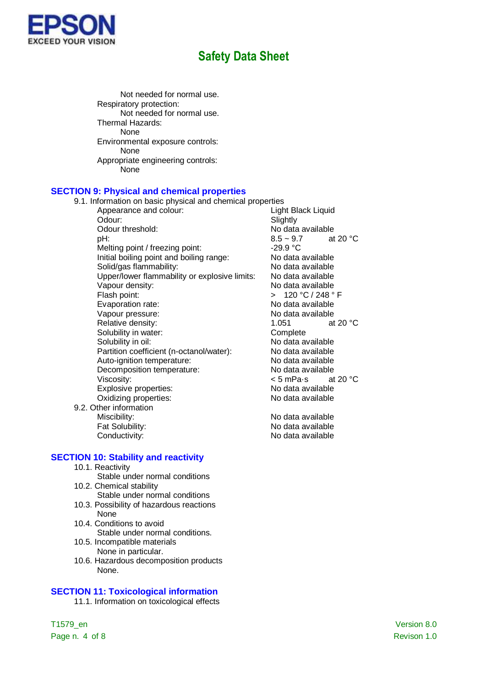

Not needed for normal use. Respiratory protection: Not needed for normal use. Thermal Hazards: None Environmental exposure controls: None Appropriate engineering controls: None

#### **SECTION 9: Physical and chemical properties**

9.1. Information on basic physical and chemical properties

- Appearance and colour: Light Black Liquid Odour: Slightly Odour threshold:<br>  $pH: 8.5 \sim 9.7$  at 20 °C Melting point / freezing point: Initial boiling point and boiling range:<br>Solid/gas flammability: No data available Solid/gas flammability:<br>
Upper/lower flammability or explosive limits: No data available Upper/lower flammability or explosive limits: Vapour density: No data available Flash point:  $\overline{C}$  > 120 °C / 248 ° F Evaporation rate: No data available Vapour pressure: No data available Relative density: 1.051 at 20 °C Solubility in water: Complete Solubility in oil: No data available Partition coefficient (n-octanol/water): No data available Auto-ignition temperature:<br>
Decomposition temperature:<br>
No data available Decomposition temperature: Viscosity:<br>
Explosive properties:<br>
Explosive properties:<br>
Some Modata available Explosive properties:<br>
Oxidizing properties:<br>
Oxidizing properties:<br>
No data available Oxidizing properties:
- 9.2. Other information

**SECTION 10: Stability and reactivity**

- 10.1. Reactivity
- Stable under normal conditions 10.2. Chemical stability
	- Stable under normal conditions
- 10.3. Possibility of hazardous reactions None
- 10.4. Conditions to avoid Stable under normal conditions.
- 10.5. Incompatible materials None in particular.
- 10.6. Hazardous decomposition products None.

### **SECTION 11: Toxicological information**

11.1. Information on toxicological effects

 $8.5 \sim 9.7$ <br>-29.9 °C

Miscibility: No data available Fat Solubility: The Contract of the No data available Conductivity: Conductivity: No data available

Page n. 4 of 8 Revison 1.0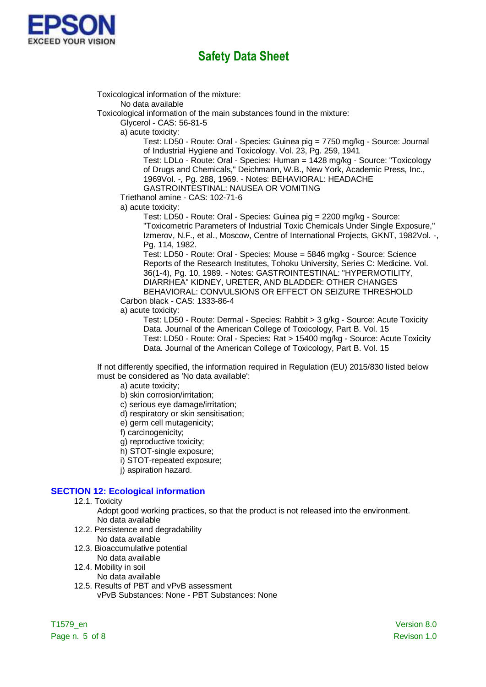

Toxicological information of the mixture: No data available Toxicological information of the main substances found in the mixture: Glycerol - CAS: 56-81-5 a) acute toxicity: Test: LD50 - Route: Oral - Species: Guinea pig = 7750 mg/kg - Source: Journal of Industrial Hygiene and Toxicology. Vol. 23, Pg. 259, 1941 Test: LDLo - Route: Oral - Species: Human = 1428 mg/kg - Source: "Toxicology of Drugs and Chemicals," Deichmann, W.B., New York, Academic Press, Inc., 1969Vol. -, Pg. 288, 1969. - Notes: BEHAVIORAL: HEADACHE GASTROINTESTINAL: NAUSEA OR VOMITING Triethanol amine - CAS: 102-71-6 a) acute toxicity: Test: LD50 - Route: Oral - Species: Guinea pig = 2200 mg/kg - Source: "Toxicometric Parameters of Industrial Toxic Chemicals Under Single Exposure," Izmerov, N.F., et al., Moscow, Centre of International Projects, GKNT, 1982Vol. -, Pg. 114, 1982. Test: LD50 - Route: Oral - Species: Mouse = 5846 mg/kg - Source: Science Reports of the Research Institutes, Tohoku University, Series C: Medicine. Vol. 36(1-4), Pg. 10, 1989. - Notes: GASTROINTESTINAL: "HYPERMOTILITY, DIARRHEA" KIDNEY, URETER, AND BLADDER: OTHER CHANGES BEHAVIORAL: CONVULSIONS OR EFFECT ON SEIZURE THRESHOLD Carbon black - CAS: 1333-86-4 a) acute toxicity: Test: LD50 - Route: Dermal - Species: Rabbit > 3 g/kg - Source: Acute Toxicity Data. Journal of the American College of Toxicology, Part B. Vol. 15

Test: LD50 - Route: Oral - Species: Rat > 15400 mg/kg - Source: Acute Toxicity Data. Journal of the American College of Toxicology, Part B. Vol. 15

If not differently specified, the information required in Regulation (EU) 2015/830 listed below must be considered as 'No data available':

a) acute toxicity;

- b) skin corrosion/irritation;
- c) serious eye damage/irritation;
- d) respiratory or skin sensitisation;
- e) germ cell mutagenicity;
- f) carcinogenicity;
- g) reproductive toxicity;
- h) STOT-single exposure;
- i) STOT-repeated exposure;
- j) aspiration hazard.

#### **SECTION 12: Ecological information**

12.1. Toxicity

Adopt good working practices, so that the product is not released into the environment. No data available

- 12.2. Persistence and degradability
	- No data available
- 12.3. Bioaccumulative potential No data available
- 12.4. Mobility in soil
	- No data available
- 12.5. Results of PBT and vPvB assessment vPvB Substances: None - PBT Substances: None

Page n. 5 of 8 Revison 1.0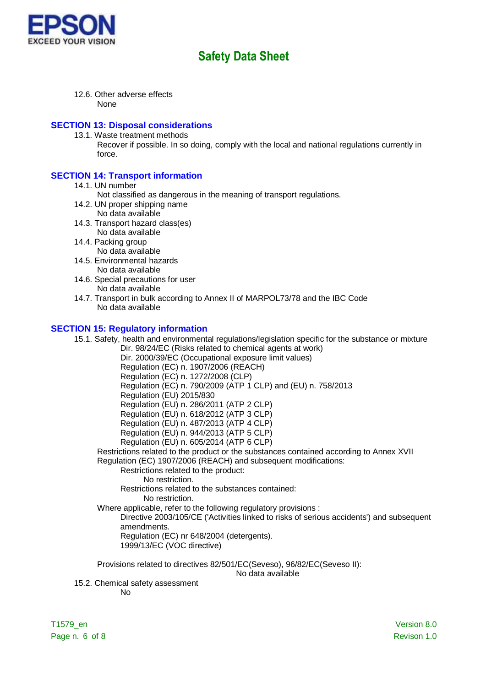

12.6. Other adverse effects None

#### **SECTION 13: Disposal considerations**

- 13.1. Waste treatment methods
	- Recover if possible. In so doing, comply with the local and national regulations currently in force.

### **SECTION 14: Transport information**

- 14.1. UN number
	- Not classified as dangerous in the meaning of transport regulations.
- 14.2. UN proper shipping name No data available
- 14.3. Transport hazard class(es)
- No data available 14.4. Packing group
	- No data available
- 14.5. Environmental hazards
	- No data available
- 14.6. Special precautions for user No data available
- 14.7. Transport in bulk according to Annex II of MARPOL73/78 and the IBC Code No data available

#### **SECTION 15: Regulatory information**

15.1. Safety, health and environmental regulations/legislation specific for the substance or mixture Dir. 98/24/EC (Risks related to chemical agents at work) Dir. 2000/39/EC (Occupational exposure limit values) Regulation (EC) n. 1907/2006 (REACH)

Regulation (EC) n. 1272/2008 (CLP)

Regulation (EC) n. 790/2009 (ATP 1 CLP) and (EU) n. 758/2013

Regulation (EU) 2015/830

Regulation (EU) n. 286/2011 (ATP 2 CLP)

Regulation (EU) n. 618/2012 (ATP 3 CLP)

Regulation (EU) n. 487/2013 (ATP 4 CLP)

Regulation (EU) n. 944/2013 (ATP 5 CLP)

Regulation (EU) n. 605/2014 (ATP 6 CLP)

Restrictions related to the product or the substances contained according to Annex XVII Regulation (EC) 1907/2006 (REACH) and subsequent modifications:

Restrictions related to the product:

No restriction.

Restrictions related to the substances contained: No restriction.

Where applicable, refer to the following regulatory provisions :

Directive 2003/105/CE ('Activities linked to risks of serious accidents') and subsequent amendments.

Regulation (EC) nr 648/2004 (detergents).

1999/13/EC (VOC directive)

Provisions related to directives 82/501/EC(Seveso), 96/82/EC(Seveso II):

No data available

15.2. Chemical safety assessment

No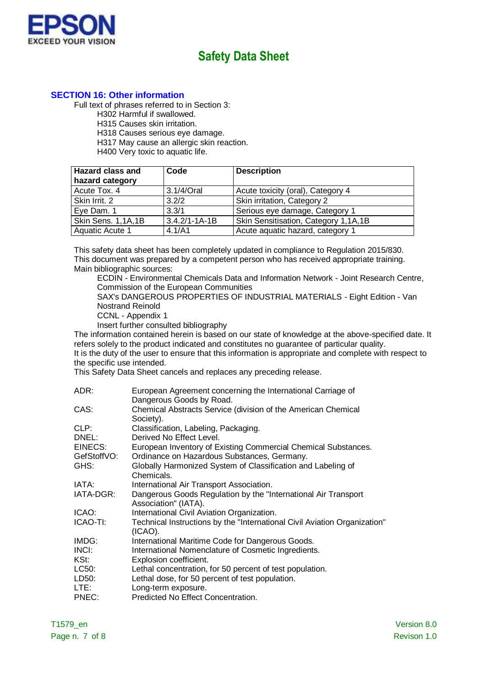

### **SECTION 16: Other information**

Full text of phrases referred to in Section 3:

H302 Harmful if swallowed.

H315 Causes skin irritation.

H318 Causes serious eye damage.

H317 May cause an allergic skin reaction.

H400 Very toxic to aquatic life.

| <b>Hazard class and</b><br>hazard category | Code                | <b>Description</b>                   |
|--------------------------------------------|---------------------|--------------------------------------|
| Acute Tox. 4                               | 3.1/4/Oral          | Acute toxicity (oral), Category 4    |
| Skin Irrit. 2                              | 3.2/2               | Skin irritation, Category 2          |
| Eye Dam. 1                                 | 3.3/1               | Serious eye damage, Category 1       |
| Skin Sens. 1,1A,1B                         | $3.4.2/1 - 1A - 1B$ | Skin Sensitisation, Category 1,1A,1B |
| Aquatic Acute 1                            | 4.1/A1              | Acute aquatic hazard, category 1     |

This safety data sheet has been completely updated in compliance to Regulation 2015/830. This document was prepared by a competent person who has received appropriate training. Main bibliographic sources:

ECDIN - Environmental Chemicals Data and Information Network - Joint Research Centre, Commission of the European Communities

SAX's DANGEROUS PROPERTIES OF INDUSTRIAL MATERIALS - Eight Edition - Van Nostrand Reinold

CCNL - Appendix 1

Insert further consulted bibliography

The information contained herein is based on our state of knowledge at the above-specified date. It refers solely to the product indicated and constitutes no guarantee of particular quality.

It is the duty of the user to ensure that this information is appropriate and complete with respect to the specific use intended.

This Safety Data Sheet cancels and replaces any preceding release.

| ADR:        | European Agreement concerning the International Carriage of<br>Dangerous Goods by Road. |
|-------------|-----------------------------------------------------------------------------------------|
| CAS:        | Chemical Abstracts Service (division of the American Chemical<br>Society).              |
| CLP:        | Classification, Labeling, Packaging.                                                    |
| DNEL:       | Derived No Effect Level.                                                                |
| EINECS:     | European Inventory of Existing Commercial Chemical Substances.                          |
| GefStoffVO: | Ordinance on Hazardous Substances, Germany.                                             |
| GHS:        | Globally Harmonized System of Classification and Labeling of                            |
|             | Chemicals.                                                                              |
| IATA:       | International Air Transport Association.                                                |
| IATA-DGR:   | Dangerous Goods Regulation by the "International Air Transport<br>Association" (IATA).  |
| ICAO:       | International Civil Aviation Organization.                                              |
| ICAO-TI:    | Technical Instructions by the "International Civil Aviation Organization"<br>(ICAO).    |
| IMDG:       | International Maritime Code for Dangerous Goods.                                        |
| INCI:       | International Nomenclature of Cosmetic Ingredients.                                     |
| KSt:        | Explosion coefficient.                                                                  |
| LC50:       | Lethal concentration, for 50 percent of test population.                                |
| LD50:       | Lethal dose, for 50 percent of test population.                                         |
| LTE:        | Long-term exposure.                                                                     |
| PNEC:       | Predicted No Effect Concentration.                                                      |